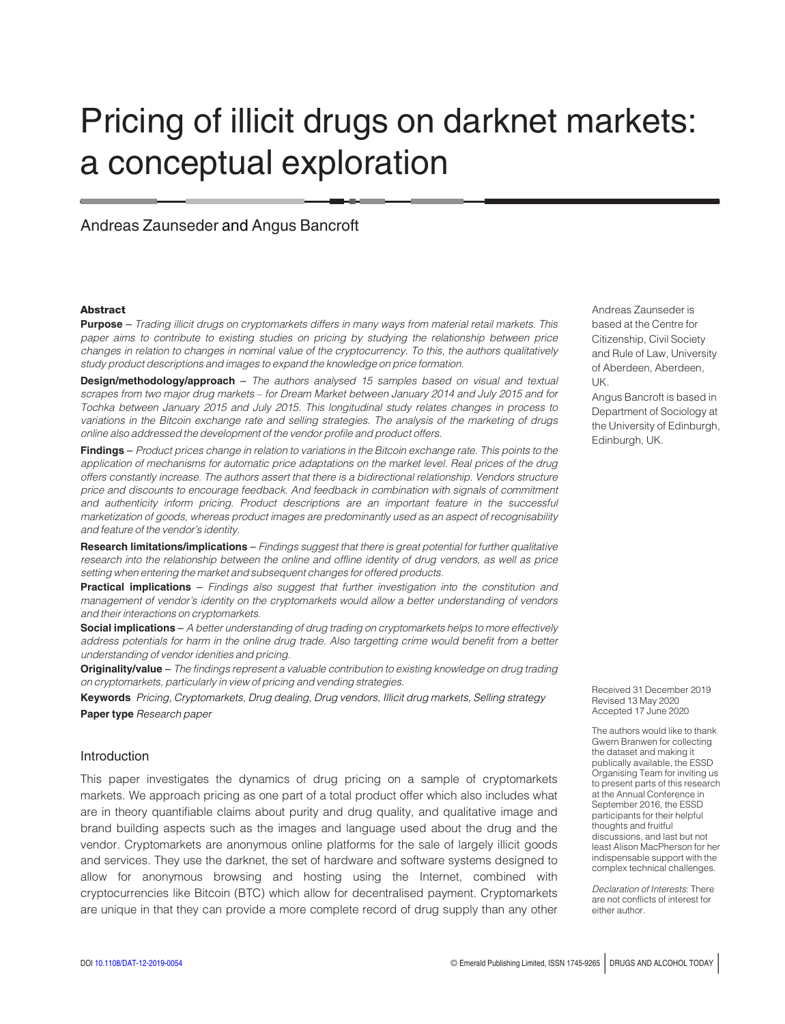# Pricing of illicit drugs on darknet markets: a conceptual exploration

# Andreas Zaunseder and Angus Bancroft

#### **Abstract**

**Purpose** – Trading illicit drugs on cryptomarkets differs in many ways from material retail markets. This paper aims to contribute to existing studies on pricing by studying the relationship between price changes in relation to changes in nominal value of the cryptocurrency. To this, the authors qualitatively study product descriptions and images to expand the knowledge on price formation.

Design/methodology/approach - The authors analysed 15 samples based on visual and textual scrapes from two major drug markets – for Dream Market between January 2014 and July 2015 and for Tochka between January 2015 and July 2015. This longitudinal study relates changes in process to variations in the Bitcoin exchange rate and selling strategies. The analysis of the marketing of drugs online also addressed the development of the vendor profile and product offers.

Findings - Product prices change in relation to variations in the Bitcoin exchange rate. This points to the application of mechanisms for automatic price adaptations on the market level. Real prices of the drug offers constantly increase. The authors assert that there is a bidirectional relationship. Vendors structure price and discounts to encourage feedback. And feedback in combination with signals of commitment and authenticity inform pricing. Product descriptions are an important feature in the successful marketization of goods, whereas product images are predominantly used as an aspect of recognisability and feature of the vendor's identity.

Research limitations/implications - Findings suggest that there is great potential for further qualitative research into the relationship between the online and offline identity of drug vendors, as well as price setting when entering the market and subsequent changes for offered products.

Practical implications – Findings also suggest that further investigation into the constitution and management of vendor's identity on the cryptomarkets would allow a better understanding of vendors and their interactions on cryptomarkets.

Social implications – A better understanding of drug trading on cryptomarkets helps to more effectively address potentials for harm in the online drug trade. Also targetting crime would benefit from a better understanding of vendor idenities and pricing.

Originality/value - The findings represent a valuable contribution to existing knowledge on drug trading on cryptomarkets, particularly in view of pricing and vending strategies.

Keywords Pricing, Cryptomarkets, Drug dealing, Drug vendors, Illicit drug markets, Selling strategy Paper type Research paper

## Introduction

This paper investigates the dynamics of drug pricing on a sample of cryptomarkets markets. We approach pricing as one part of a total product offer which also includes what are in theory quantifiable claims about purity and drug quality, and qualitative image and brand building aspects such as the images and language used about the drug and the vendor. Cryptomarkets are anonymous online platforms for the sale of largely illicit goods and services. They use the darknet, the set of hardware and software systems designed to allow for anonymous browsing and hosting using the Internet, combined with cryptocurrencies like Bitcoin (BTC) which allow for decentralised payment. Cryptomarkets are unique in that they can provide a more complete record of drug supply than any other Andreas Zaunseder is based at the Centre for Citizenship, Civil Society and Rule of Law, University of Aberdeen, Aberdeen, UK.

Angus Bancroft is based in Department of Sociology at the University of Edinburgh, Edinburgh, UK.

Received 31 December 2019 Revised 13 May 2020 Accepted 17 June 2020

The authors would like to thank Gwern Branwen for collecting the dataset and making it publically available, the ESSD Organising Team for inviting us to present parts of this research at the Annual Conference in September 2016, the ESSD participants for their helpful thoughts and fruitful discussions, and last but not least Alison MacPherson for her indispensable support with the complex technical challenges.

Declaration of Interests: There are not conflicts of interest for either author.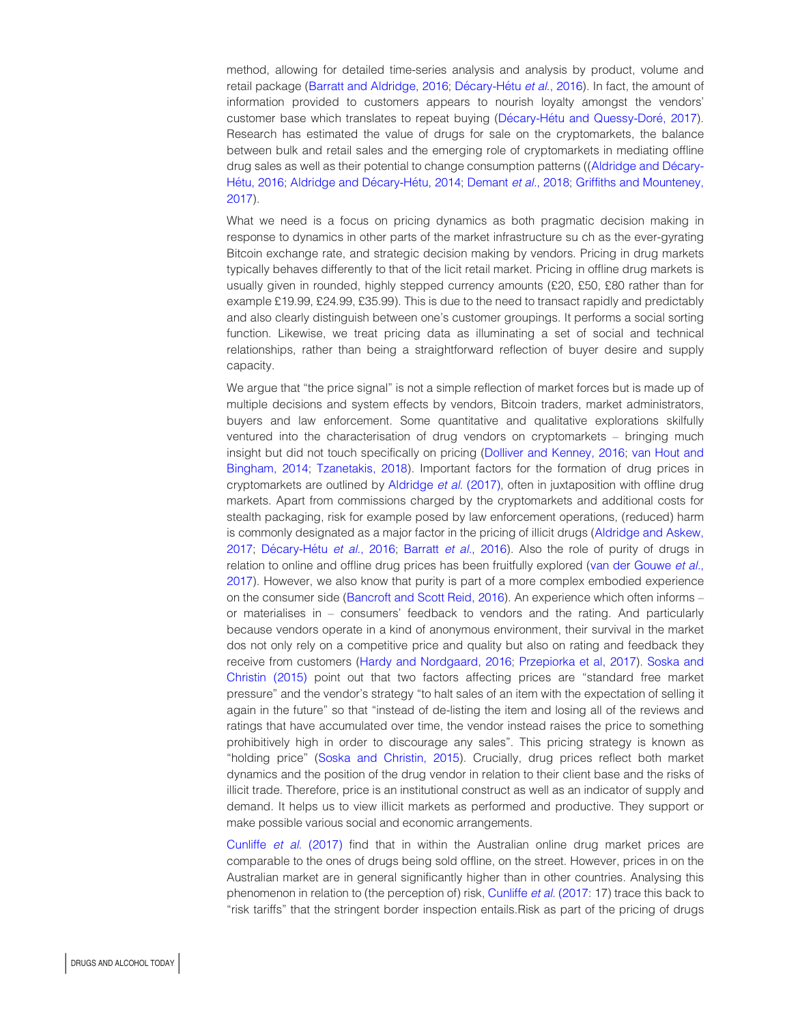method, allowing for detailed time-series analysis and analysis by product, volume and retail package [\(Barratt and Aldridge, 2016](#page-8-0); Décary-Hétu et al., 2016). In fact, the amount of information provided to customers appears to nourish loyalty amongst the vendors' customer base which translates to repeat buying (Décary-Hétu and Quessy-Doré, 2017). Research has estimated the value of drugs for sale on the cryptomarkets, the balance between bulk and retail sales and the emerging role of cryptomarkets in mediating offline drug sales as well as their potential to change consumption patterns ((Aldridge and Décary-Hétu, 2016; Aldridge and Décary-Hétu, 2014; [Demant](#page-9-2) et al., 2018; [Griffiths and Mounteney,](#page-9-3) [2017\)](#page-9-3).

What we need is a focus on pricing dynamics as both pragmatic decision making in response to dynamics in other parts of the market infrastructure su ch as the ever-gyrating Bitcoin exchange rate, and strategic decision making by vendors. Pricing in drug markets typically behaves differently to that of the licit retail market. Pricing in offline drug markets is usually given in rounded, highly stepped currency amounts (£20, £50, £80 rather than for example £19.99, £24.99, £35.99). This is due to the need to transact rapidly and predictably and also clearly distinguish between one's customer groupings. It performs a social sorting function. Likewise, we treat pricing data as illuminating a set of social and technical relationships, rather than being a straightforward reflection of buyer desire and supply capacity.

We argue that "the price signal" is not a simple reflection of market forces but is made up of multiple decisions and system effects by vendors, Bitcoin traders, market administrators, buyers and law enforcement. Some quantitative and qualitative explorations skilfully ventured into the characterisation of drug vendors on cryptomarkets – bringing much insight but did not touch specifically on pricing ([Dolliver and Kenney, 2016;](#page-9-4) [van Hout and](#page-10-0) [Bingham, 2014;](#page-10-0) [Tzanetakis, 2018\)](#page-10-1). Important factors for the formation of drug prices in cryptomarkets are outlined by [Aldridge](#page-8-3) et al. (2017), often in juxtaposition with offline drug markets. Apart from commissions charged by the cryptomarkets and additional costs for stealth packaging, risk for example posed by law enforcement operations, (reduced) harm is commonly designated as a major factor in the pricing of illicit drugs [\(Aldridge and Askew,](#page-8-4) [2017;](#page-8-4) Décary-Hétu et al., 2016; [Barratt](#page-8-5) et al., 2016). Also the role of purity of drugs in relation to online and offline drug prices has been fruitfully explored ([van der Gouwe](#page-9-5) et al., [2017\)](#page-9-5). However, we also know that purity is part of a more complex embodied experience on the consumer side [\(Bancroft and Scott Reid, 2016](#page-8-6)). An experience which often informs – or materialises in – consumers' feedback to vendors and the rating. And particularly because vendors operate in a kind of anonymous environment, their survival in the market dos not only rely on a competitive price and quality but also on rating and feedback they receive from customers [\(Hardy and Nordgaard, 2016](#page-9-6); [Przepiorka et al, 2017](#page-9-7)). [Soska and](#page-9-8) [Christin \(2015\)](#page-9-8) point out that two factors affecting prices are "standard free market pressure" and the vendor's strategy "to halt sales of an item with the expectation of selling it again in the future" so that "instead of de-listing the item and losing all of the reviews and ratings that have accumulated over time, the vendor instead raises the price to something prohibitively high in order to discourage any sales". This pricing strategy is known as "holding price" ([Soska and Christin, 2015](#page-9-8)). Crucially, drug prices reflect both market dynamics and the position of the drug vendor in relation to their client base and the risks of illicit trade. Therefore, price is an institutional construct as well as an indicator of supply and demand. It helps us to view illicit markets as performed and productive. They support or make possible various social and economic arrangements.

[Cunliffe](#page-9-9) et al. (2017) find that in within the Australian online drug market prices are comparable to the ones of drugs being sold offline, on the street. However, prices in on the Australian market are in general significantly higher than in other countries. Analysing this phenomenon in relation to (the perception of) risk, [Cunliffe](#page-9-9) et al. (2017: 17) trace this back to "risk tariffs" that the stringent border inspection entails.Risk as part of the pricing of drugs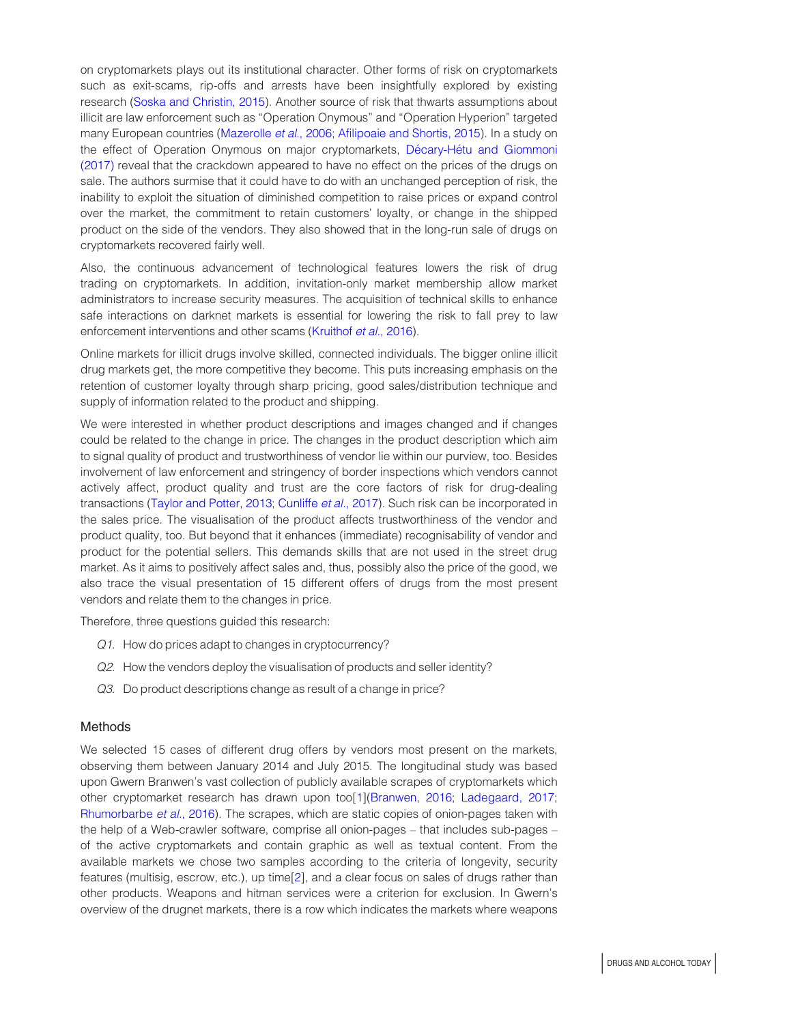on cryptomarkets plays out its institutional character. Other forms of risk on cryptomarkets such as exit-scams, rip-offs and arrests have been insightfully explored by existing research [\(Soska and Christin, 2015\)](#page-9-8). Another source of risk that thwarts assumptions about illicit are law enforcement such as "Operation Onymous" and "Operation Hyperion" targeted many European countries [\(Mazerolle](#page-9-10) et al., 2006; [Afilipoaie and Shortis, 2015](#page-8-7)). In a study on the effect of Operation Onymous on major cryptomarkets, Décary-Hétu and Giommoni [\(2017\)](#page-9-11) reveal that the crackdown appeared to have no effect on the prices of the drugs on sale. The authors surmise that it could have to do with an unchanged perception of risk, the inability to exploit the situation of diminished competition to raise prices or expand control over the market, the commitment to retain customers' loyalty, or change in the shipped product on the side of the vendors. They also showed that in the long-run sale of drugs on cryptomarkets recovered fairly well.

Also, the continuous advancement of technological features lowers the risk of drug trading on cryptomarkets. In addition, invitation-only market membership allow market administrators to increase security measures. The acquisition of technical skills to enhance safe interactions on darknet markets is essential for lowering the risk to fall prey to law enforcement interventions and other scams ([Kruithof](#page-9-12) et al., 2016).

Online markets for illicit drugs involve skilled, connected individuals. The bigger online illicit drug markets get, the more competitive they become. This puts increasing emphasis on the retention of customer loyalty through sharp pricing, good sales/distribution technique and supply of information related to the product and shipping.

We were interested in whether product descriptions and images changed and if changes could be related to the change in price. The changes in the product description which aim to signal quality of product and trustworthiness of vendor lie within our purview, too. Besides involvement of law enforcement and stringency of border inspections which vendors cannot actively affect, product quality and trust are the core factors of risk for drug-dealing transactions [\(Taylor and Potter, 2013](#page-9-13); [Cunliffe](#page-9-9) et al., 2017). Such risk can be incorporated in the sales price. The visualisation of the product affects trustworthiness of the vendor and product quality, too. But beyond that it enhances (immediate) recognisability of vendor and product for the potential sellers. This demands skills that are not used in the street drug market. As it aims to positively affect sales and, thus, possibly also the price of the good, we also trace the visual presentation of 15 different offers of drugs from the most present vendors and relate them to the changes in price.

Therefore, three questions guided this research:

- Q1. How do prices adapt to changes in cryptocurrency?
- Q2. How the vendors deploy the visualisation of products and seller identity?
- Q3. Do product descriptions change as result of a change in price?

#### **Methods**

We selected 15 cases of different drug offers by vendors most present on the markets, observing them between January 2014 and July 2015. The longitudinal study was based upon Gwern Branwen's vast collection of publicly available scrapes of cryptomarkets which other cryptomarket research has drawn upon too[\[1](#page-8-8)][\(Branwen, 2016;](#page-8-9) [Ladegaard, 2017](#page-9-14); [Rhumorbarbe](#page-9-15) et al., 2016). The scrapes, which are static copies of onion-pages taken with the help of a Web-crawler software, comprise all onion-pages – that includes sub-pages – of the active cryptomarkets and contain graphic as well as textual content. From the available markets we chose two samples according to the criteria of longevity, security features (multisig, escrow, etc.), up time[\[2](#page-8-10)], and a clear focus on sales of drugs rather than other products. Weapons and hitman services were a criterion for exclusion. In Gwern's overview of the drugnet markets, there is a row which indicates the markets where weapons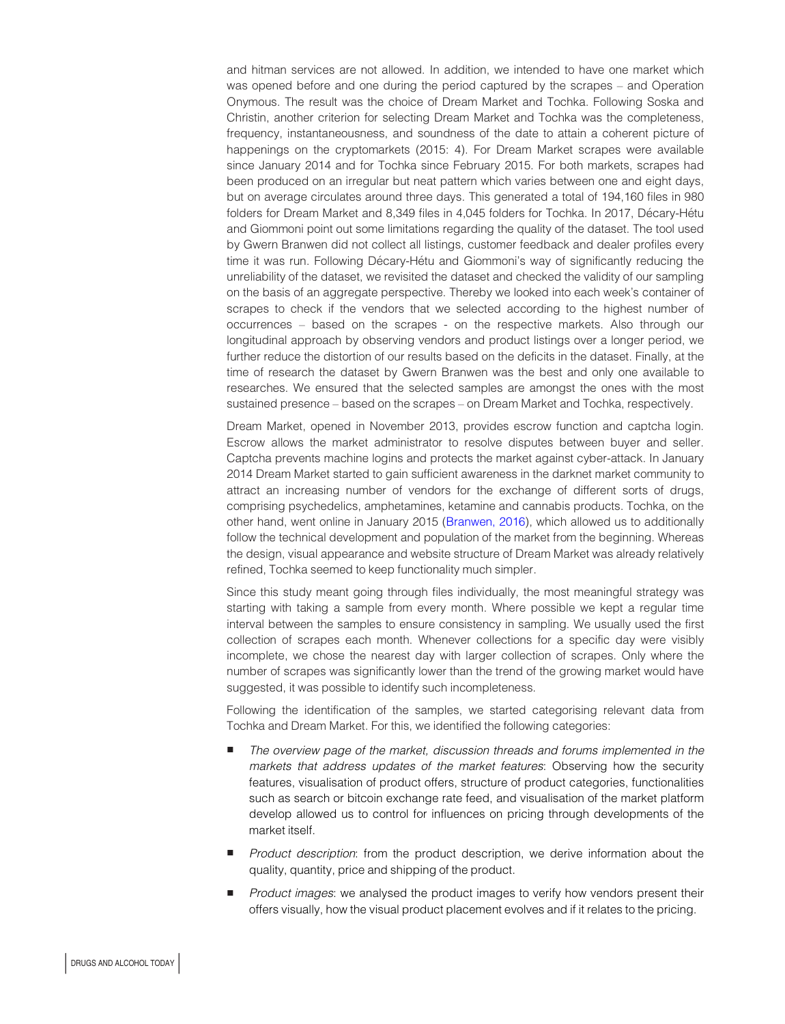and hitman services are not allowed. In addition, we intended to have one market which was opened before and one during the period captured by the scrapes – and Operation Onymous. The result was the choice of Dream Market and Tochka. Following Soska and Christin, another criterion for selecting Dream Market and Tochka was the completeness, frequency, instantaneousness, and soundness of the date to attain a coherent picture of happenings on the cryptomarkets (2015: 4). For Dream Market scrapes were available since January 2014 and for Tochka since February 2015. For both markets, scrapes had been produced on an irregular but neat pattern which varies between one and eight days, but on average circulates around three days. This generated a total of 194,160 files in 980 folders for Dream Market and 8,349 files in 4,045 folders for Tochka. In 2017, Décary-Hétu and Giommoni point out some limitations regarding the quality of the dataset. The tool used by Gwern Branwen did not collect all listings, customer feedback and dealer profiles every time it was run. Following Décary-Hétu and Giommoni's way of significantly reducing the unreliability of the dataset, we revisited the dataset and checked the validity of our sampling on the basis of an aggregate perspective. Thereby we looked into each week's container of scrapes to check if the vendors that we selected according to the highest number of occurrences – based on the scrapes - on the respective markets. Also through our longitudinal approach by observing vendors and product listings over a longer period, we further reduce the distortion of our results based on the deficits in the dataset. Finally, at the time of research the dataset by Gwern Branwen was the best and only one available to researches. We ensured that the selected samples are amongst the ones with the most sustained presence – based on the scrapes – on Dream Market and Tochka, respectively.

Dream Market, opened in November 2013, provides escrow function and captcha login. Escrow allows the market administrator to resolve disputes between buyer and seller. Captcha prevents machine logins and protects the market against cyber-attack. In January 2014 Dream Market started to gain sufficient awareness in the darknet market community to attract an increasing number of vendors for the exchange of different sorts of drugs, comprising psychedelics, amphetamines, ketamine and cannabis products. Tochka, on the other hand, went online in January 2015 [\(Branwen, 2016](#page-8-9)), which allowed us to additionally follow the technical development and population of the market from the beginning. Whereas the design, visual appearance and website structure of Dream Market was already relatively refined, Tochka seemed to keep functionality much simpler.

Since this study meant going through files individually, the most meaningful strategy was starting with taking a sample from every month. Where possible we kept a regular time interval between the samples to ensure consistency in sampling. We usually used the first collection of scrapes each month. Whenever collections for a specific day were visibly incomplete, we chose the nearest day with larger collection of scrapes. Only where the number of scrapes was significantly lower than the trend of the growing market would have suggested, it was possible to identify such incompleteness.

Following the identification of the samples, we started categorising relevant data from Tochka and Dream Market. For this, we identified the following categories:

- The overview page of the market, discussion threads and forums implemented in the markets that address updates of the market features: Observing how the security features, visualisation of product offers, structure of product categories, functionalities such as search or bitcoin exchange rate feed, and visualisation of the market platform develop allowed us to control for influences on pricing through developments of the market itself.
- **Product description: from the product description, we derive information about the** quality, quantity, price and shipping of the product.
- **Product images:** we analysed the product images to verify how vendors present their offers visually, how the visual product placement evolves and if it relates to the pricing.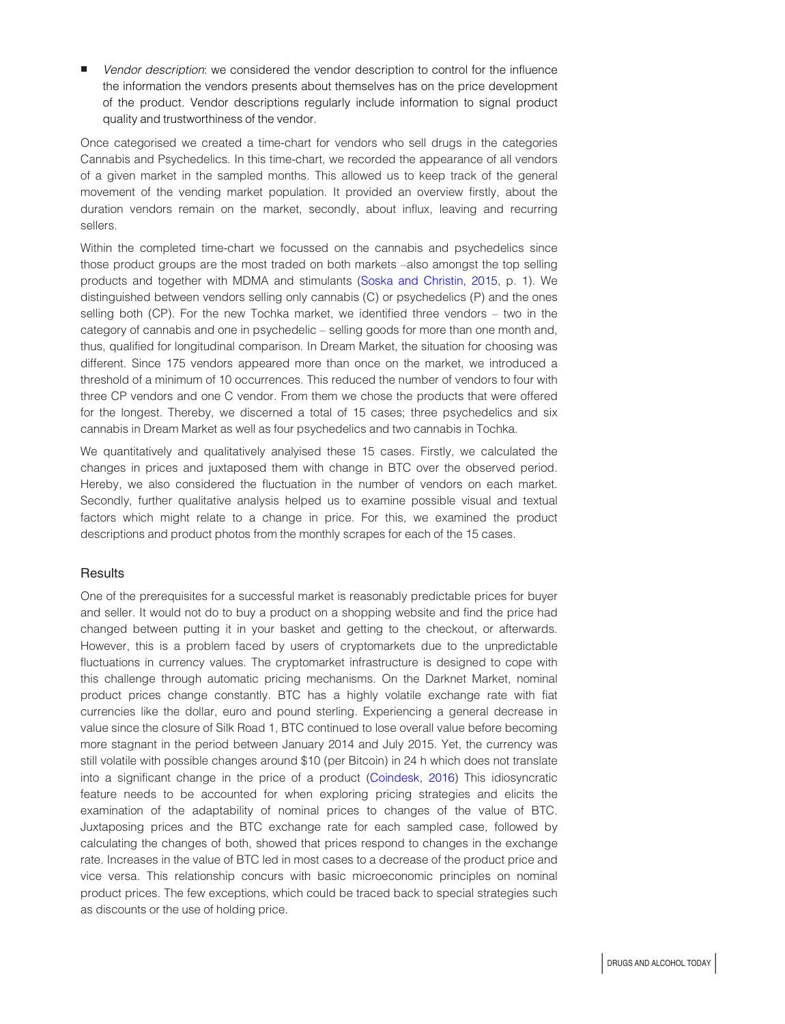Vendor description: we considered the vendor description to control for the influence the information the vendors presents about themselves has on the price development of the product. Vendor descriptions regularly include information to signal product quality and trustworthiness of the vendor.

Once categorised we created a time-chart for vendors who sell drugs in the categories Cannabis and Psychedelics. In this time-chart, we recorded the appearance of all vendors of a given market in the sampled months. This allowed us to keep track of the general movement of the vending market population. It provided an overview firstly, about the duration vendors remain on the market, secondly, about influx, leaving and recurring sellers.

Within the completed time-chart we focussed on the cannabis and psychedelics since those product groups are the most traded on both markets –also amongst the top selling products and together with MDMA and stimulants ([Soska and Christin, 2015](#page-9-8), p. 1). We distinguished between vendors selling only cannabis (C) or psychedelics (P) and the ones selling both (CP). For the new Tochka market, we identified three vendors – two in the category of cannabis and one in psychedelic – selling goods for more than one month and, thus, qualified for longitudinal comparison. In Dream Market, the situation for choosing was different. Since 175 vendors appeared more than once on the market, we introduced a threshold of a minimum of 10 occurrences. This reduced the number of vendors to four with three CP vendors and one C vendor. From them we chose the products that were offered for the longest. Thereby, we discerned a total of 15 cases; three psychedelics and six cannabis in Dream Market as well as four psychedelics and two cannabis in Tochka.

We quantitatively and qualitatively analyised these 15 cases. Firstly, we calculated the changes in prices and juxtaposed them with change in BTC over the observed period. Hereby, we also considered the fluctuation in the number of vendors on each market. Secondly, further qualitative analysis helped us to examine possible visual and textual factors which might relate to a change in price. For this, we examined the product descriptions and product photos from the monthly scrapes for each of the 15 cases.

# **Results**

One of the prerequisites for a successful market is reasonably predictable prices for buyer and seller. It would not do to buy a product on a shopping website and find the price had changed between putting it in your basket and getting to the checkout, or afterwards. However, this is a problem faced by users of cryptomarkets due to the unpredictable fluctuations in currency values. The cryptomarket infrastructure is designed to cope with this challenge through automatic pricing mechanisms. On the Darknet Market, nominal product prices change constantly. BTC has a highly volatile exchange rate with fiat currencies like the dollar, euro and pound sterling. Experiencing a general decrease in value since the closure of Silk Road 1, BTC continued to lose overall value before becoming more stagnant in the period between January 2014 and July 2015. Yet, the currency was still volatile with possible changes around \$10 (per Bitcoin) in 24 h which does not translate into a significant change in the price of a product ([Coindesk, 2016\)](#page-9-16) This idiosyncratic feature needs to be accounted for when exploring pricing strategies and elicits the examination of the adaptability of nominal prices to changes of the value of BTC. Juxtaposing prices and the BTC exchange rate for each sampled case, followed by calculating the changes of both, showed that prices respond to changes in the exchange rate. Increases in the value of BTC led in most cases to a decrease of the product price and vice versa. This relationship concurs with basic microeconomic principles on nominal product prices. The few exceptions, which could be traced back to special strategies such as discounts or the use of holding price.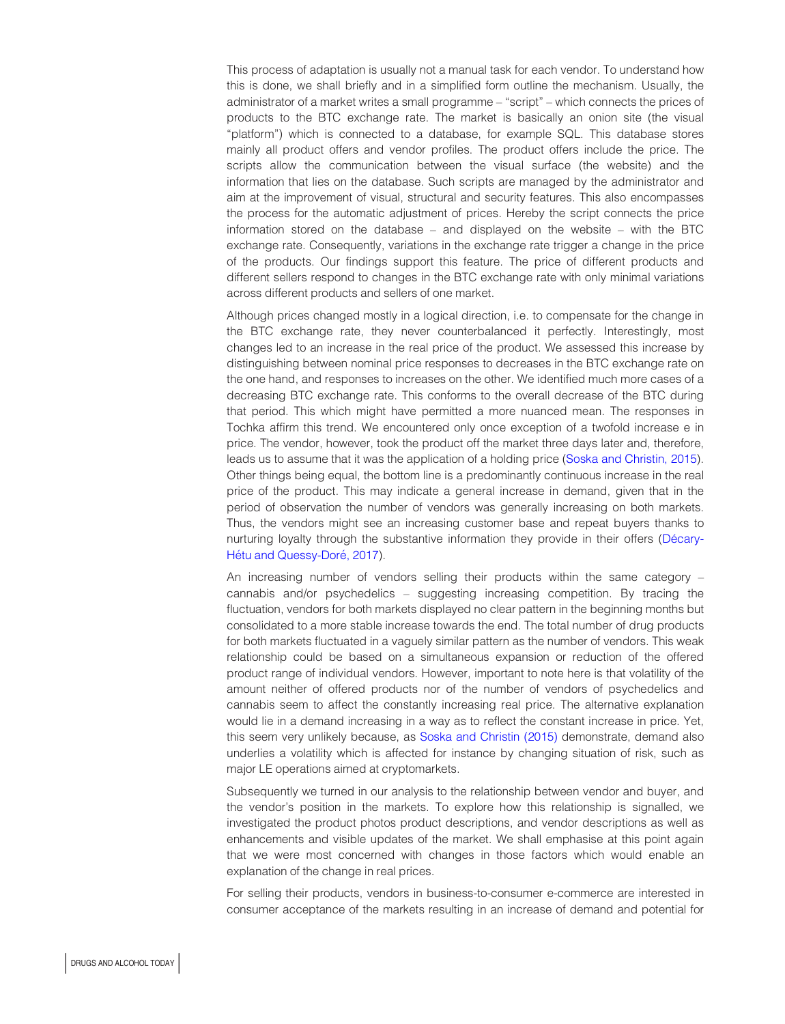This process of adaptation is usually not a manual task for each vendor. To understand how this is done, we shall briefly and in a simplified form outline the mechanism. Usually, the administrator of a market writes a small programme – "script" – which connects the prices of products to the BTC exchange rate. The market is basically an onion site (the visual "platform") which is connected to a database, for example SQL. This database stores mainly all product offers and vendor profiles. The product offers include the price. The scripts allow the communication between the visual surface (the website) and the information that lies on the database. Such scripts are managed by the administrator and aim at the improvement of visual, structural and security features. This also encompasses the process for the automatic adjustment of prices. Hereby the script connects the price information stored on the database – and displayed on the website – with the BTC exchange rate. Consequently, variations in the exchange rate trigger a change in the price of the products. Our findings support this feature. The price of different products and different sellers respond to changes in the BTC exchange rate with only minimal variations across different products and sellers of one market.

Although prices changed mostly in a logical direction, i.e. to compensate for the change in the BTC exchange rate, they never counterbalanced it perfectly. Interestingly, most changes led to an increase in the real price of the product. We assessed this increase by distinguishing between nominal price responses to decreases in the BTC exchange rate on the one hand, and responses to increases on the other. We identified much more cases of a decreasing BTC exchange rate. This conforms to the overall decrease of the BTC during that period. This which might have permitted a more nuanced mean. The responses in Tochka affirm this trend. We encountered only once exception of a twofold increase e in price. The vendor, however, took the product off the market three days later and, therefore, leads us to assume that it was the application of a holding price ([Soska and Christin, 2015](#page-9-8)). Other things being equal, the bottom line is a predominantly continuous increase in the real price of the product. This may indicate a general increase in demand, given that in the period of observation the number of vendors was generally increasing on both markets. Thus, the vendors might see an increasing customer base and repeat buyers thanks to nurturing loyalty through the substantive information they provide in their offers (Décary-Hétu and Quessy-Doré, 2017).

An increasing number of vendors selling their products within the same category – cannabis and/or psychedelics – suggesting increasing competition. By tracing the fluctuation, vendors for both markets displayed no clear pattern in the beginning months but consolidated to a more stable increase towards the end. The total number of drug products for both markets fluctuated in a vaguely similar pattern as the number of vendors. This weak relationship could be based on a simultaneous expansion or reduction of the offered product range of individual vendors. However, important to note here is that volatility of the amount neither of offered products nor of the number of vendors of psychedelics and cannabis seem to affect the constantly increasing real price. The alternative explanation would lie in a demand increasing in a way as to reflect the constant increase in price. Yet, this seem very unlikely because, as [Soska and Christin \(2015\)](#page-9-8) demonstrate, demand also underlies a volatility which is affected for instance by changing situation of risk, such as major LE operations aimed at cryptomarkets.

Subsequently we turned in our analysis to the relationship between vendor and buyer, and the vendor's position in the markets. To explore how this relationship is signalled, we investigated the product photos product descriptions, and vendor descriptions as well as enhancements and visible updates of the market. We shall emphasise at this point again that we were most concerned with changes in those factors which would enable an explanation of the change in real prices.

For selling their products, vendors in business-to-consumer e-commerce are interested in consumer acceptance of the markets resulting in an increase of demand and potential for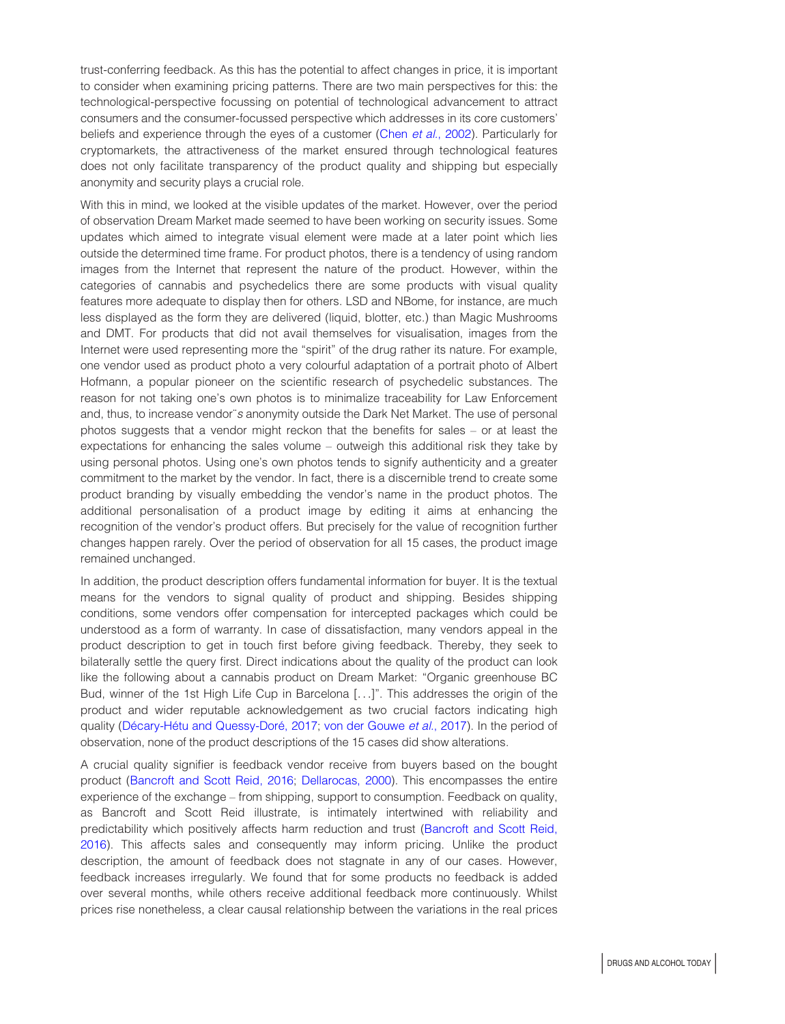trust-conferring feedback. As this has the potential to affect changes in price, it is important to consider when examining pricing patterns. There are two main perspectives for this: the technological-perspective focussing on potential of technological advancement to attract consumers and the consumer-focussed perspective which addresses in its core customers' beliefs and experience through the eyes of a customer (Chen et al.[, 2002](#page-8-11)). Particularly for cryptomarkets, the attractiveness of the market ensured through technological features does not only facilitate transparency of the product quality and shipping but especially anonymity and security plays a crucial role.

With this in mind, we looked at the visible updates of the market. However, over the period of observation Dream Market made seemed to have been working on security issues. Some updates which aimed to integrate visual element were made at a later point which lies outside the determined time frame. For product photos, there is a tendency of using random images from the Internet that represent the nature of the product. However, within the categories of cannabis and psychedelics there are some products with visual quality features more adequate to display then for others. LSD and NBome, for instance, are much less displayed as the form they are delivered (liquid, blotter, etc.) than Magic Mushrooms and DMT. For products that did not avail themselves for visualisation, images from the Internet were used representing more the "spirit" of the drug rather its nature. For example, one vendor used as product photo a very colourful adaptation of a portrait photo of Albert Hofmann, a popular pioneer on the scientific research of psychedelic substances. The reason for not taking one's own photos is to minimalize traceability for Law Enforcement and, thus, to increase vendor¨s anonymity outside the Dark Net Market. The use of personal photos suggests that a vendor might reckon that the benefits for sales – or at least the expectations for enhancing the sales volume – outweigh this additional risk they take by using personal photos. Using one's own photos tends to signify authenticity and a greater commitment to the market by the vendor. In fact, there is a discernible trend to create some product branding by visually embedding the vendor's name in the product photos. The additional personalisation of a product image by editing it aims at enhancing the recognition of the vendor's product offers. But precisely for the value of recognition further changes happen rarely. Over the period of observation for all 15 cases, the product image remained unchanged.

In addition, the product description offers fundamental information for buyer. It is the textual means for the vendors to signal quality of product and shipping. Besides shipping conditions, some vendors offer compensation for intercepted packages which could be understood as a form of warranty. In case of dissatisfaction, many vendors appeal in the product description to get in touch first before giving feedback. Thereby, they seek to bilaterally settle the query first. Direct indications about the quality of the product can look like the following about a cannabis product on Dream Market: "Organic greenhouse BC Bud, winner of the 1st High Life Cup in Barcelona [...]". This addresses the origin of the product and wider reputable acknowledgement as two crucial factors indicating high quality (Décary-Hétu and Quessy-Doré, 2017; [von der Gouwe](#page-9-5) et al., 2017). In the period of observation, none of the product descriptions of the 15 cases did show alterations.

A crucial quality signifier is feedback vendor receive from buyers based on the bought product ([Bancroft and Scott Reid, 2016;](#page-8-6) [Dellarocas, 2000\)](#page-9-17). This encompasses the entire experience of the exchange – from shipping, support to consumption. Feedback on quality, as Bancroft and Scott Reid illustrate, is intimately intertwined with reliability and predictability which positively affects harm reduction and trust ([Bancroft and Scott Reid,](#page-8-6) [2016\)](#page-8-6). This affects sales and consequently may inform pricing. Unlike the product description, the amount of feedback does not stagnate in any of our cases. However, feedback increases irregularly. We found that for some products no feedback is added over several months, while others receive additional feedback more continuously. Whilst prices rise nonetheless, a clear causal relationship between the variations in the real prices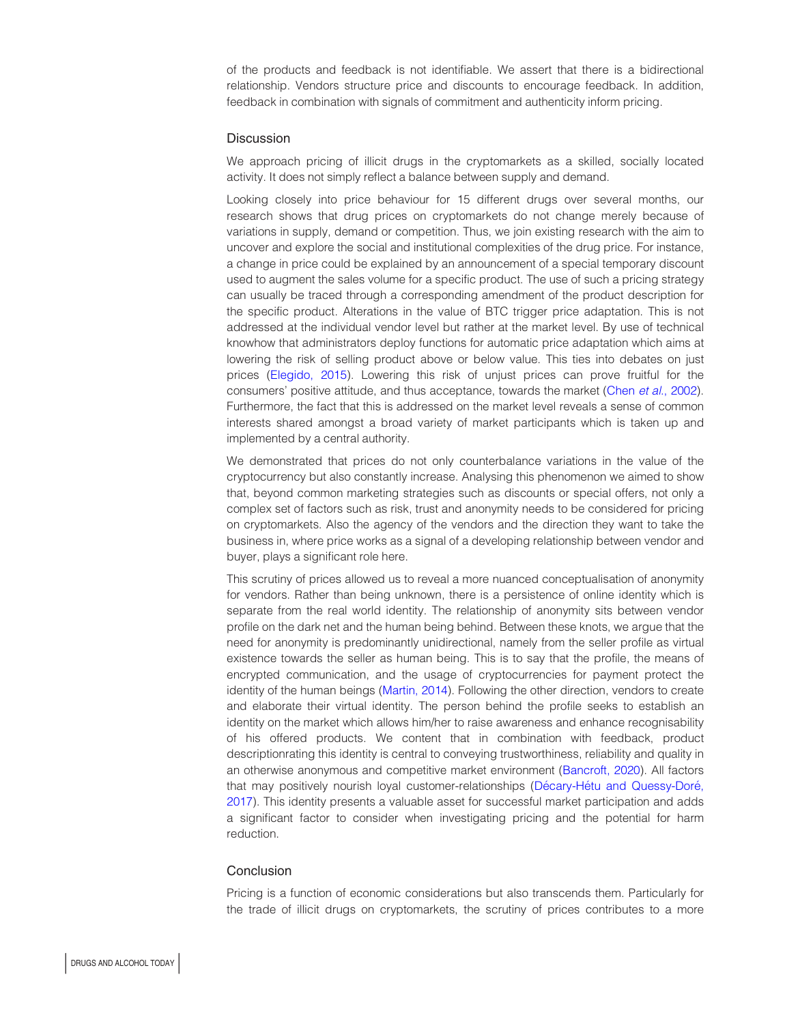of the products and feedback is not identifiable. We assert that there is a bidirectional relationship. Vendors structure price and discounts to encourage feedback. In addition, feedback in combination with signals of commitment and authenticity inform pricing.

#### **Discussion**

We approach pricing of illicit drugs in the cryptomarkets as a skilled, socially located activity. It does not simply reflect a balance between supply and demand.

Looking closely into price behaviour for 15 different drugs over several months, our research shows that drug prices on cryptomarkets do not change merely because of variations in supply, demand or competition. Thus, we join existing research with the aim to uncover and explore the social and institutional complexities of the drug price. For instance, a change in price could be explained by an announcement of a special temporary discount used to augment the sales volume for a specific product. The use of such a pricing strategy can usually be traced through a corresponding amendment of the product description for the specific product. Alterations in the value of BTC trigger price adaptation. This is not addressed at the individual vendor level but rather at the market level. By use of technical knowhow that administrators deploy functions for automatic price adaptation which aims at lowering the risk of selling product above or below value. This ties into debates on just prices [\(Elegido, 2015](#page-9-18)). Lowering this risk of unjust prices can prove fruitful for the consumers' positive attitude, and thus acceptance, towards the market (Chen *et al.*[, 2002](#page-8-11)). Furthermore, the fact that this is addressed on the market level reveals a sense of common interests shared amongst a broad variety of market participants which is taken up and implemented by a central authority.

We demonstrated that prices do not only counterbalance variations in the value of the cryptocurrency but also constantly increase. Analysing this phenomenon we aimed to show that, beyond common marketing strategies such as discounts or special offers, not only a complex set of factors such as risk, trust and anonymity needs to be considered for pricing on cryptomarkets. Also the agency of the vendors and the direction they want to take the business in, where price works as a signal of a developing relationship between vendor and buyer, plays a significant role here.

This scrutiny of prices allowed us to reveal a more nuanced conceptualisation of anonymity for vendors. Rather than being unknown, there is a persistence of online identity which is separate from the real world identity. The relationship of anonymity sits between vendor profile on the dark net and the human being behind. Between these knots, we argue that the need for anonymity is predominantly unidirectional, namely from the seller profile as virtual existence towards the seller as human being. This is to say that the profile, the means of encrypted communication, and the usage of cryptocurrencies for payment protect the identity of the human beings [\(Martin, 2014](#page-9-19)). Following the other direction, vendors to create and elaborate their virtual identity. The person behind the profile seeks to establish an identity on the market which allows him/her to raise awareness and enhance recognisability of his offered products. We content that in combination with feedback, product descriptionrating this identity is central to conveying trustworthiness, reliability and quality in an otherwise anonymous and competitive market environment ([Bancroft, 2020\)](#page-8-12). All factors that may positively nourish loyal customer-relationships (Décary-Hétu and Quessy-Doré, [2017\)](#page-9-1). This identity presents a valuable asset for successful market participation and adds a significant factor to consider when investigating pricing and the potential for harm reduction.

#### **Conclusion**

Pricing is a function of economic considerations but also transcends them. Particularly for the trade of illicit drugs on cryptomarkets, the scrutiny of prices contributes to a more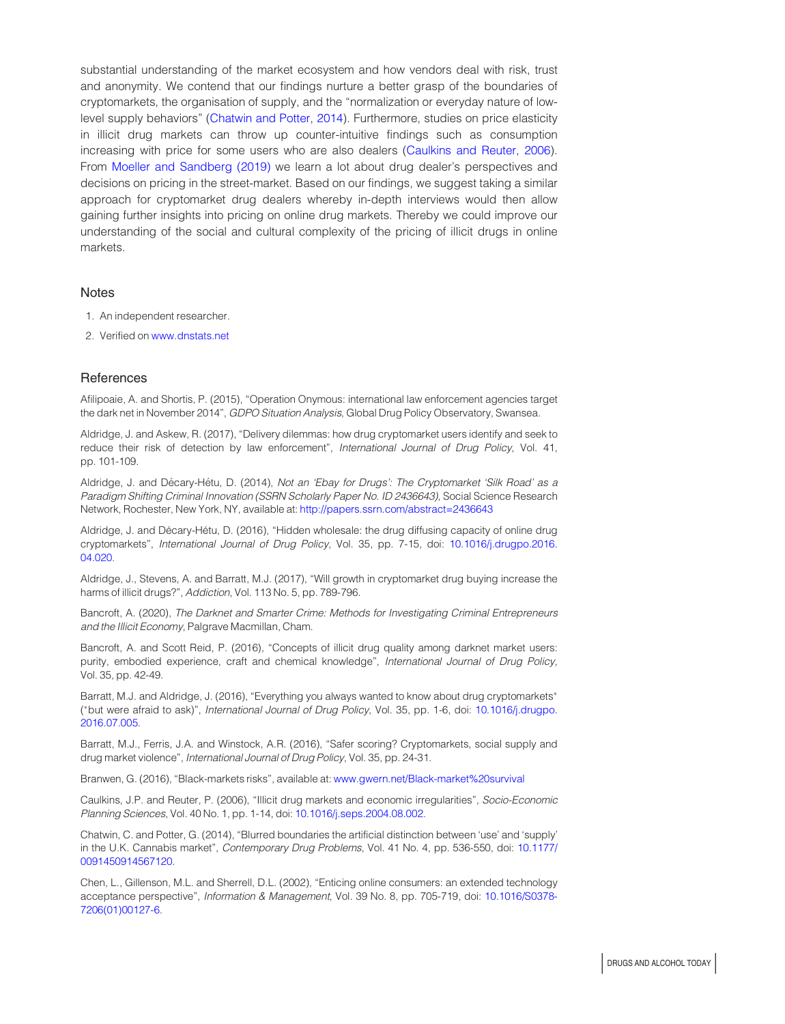substantial understanding of the market ecosystem and how vendors deal with risk, trust and anonymity. We contend that our findings nurture a better grasp of the boundaries of cryptomarkets, the organisation of supply, and the "normalization or everyday nature of lowlevel supply behaviors" [\(Chatwin and Potter, 2014](#page-8-13)). Furthermore, studies on price elasticity in illicit drug markets can throw up counter-intuitive findings such as consumption increasing with price for some users who are also dealers [\(Caulkins and Reuter, 2006](#page-8-14)). From [Moeller and Sandberg \(2019\)](#page-9-20) we learn a lot about drug dealer's perspectives and decisions on pricing in the street-market. Based on our findings, we suggest taking a similar approach for cryptomarket drug dealers whereby in-depth interviews would then allow gaining further insights into pricing on online drug markets. Thereby we could improve our understanding of the social and cultural complexity of the pricing of illicit drugs in online markets.

#### **Notes**

- <span id="page-8-8"></span>1. An independent researcher.
- <span id="page-8-10"></span>2. Verified on [www.dnstats.net](http://www.dnstats.net)

#### References

<span id="page-8-7"></span>Afilipoaie, A. and Shortis, P. (2015), "Operation Onymous: international law enforcement agencies target the dark net in November 2014", GDPO Situation Analysis, Global Drug Policy Observatory, Swansea.

<span id="page-8-4"></span>Aldridge, J. and Askew, R. (2017), "Delivery dilemmas: how drug cryptomarket users identify and seek to reduce their risk of detection by law enforcement", International Journal of Drug Policy, Vol. 41, pp. 101-109.

<span id="page-8-2"></span>Aldridge, J. and Décary-Hétu, D. (2014), Not an 'Ebay for Drugs': The Cryptomarket 'Silk Road' as a Paradigm Shifting Criminal Innovation (SSRN Scholarly Paper No. ID 2436643), Social Science Research Network, Rochester, New York, NY, available at: <http://papers.ssrn.com/abstract=2436643>

<span id="page-8-1"></span>Aldridge, J. and Décary-Hétu, D. (2016), "Hidden wholesale: the drug diffusing capacity of online drug cryptomarkets", International Journal of Drug Policy, Vol. 35, pp. 7-15, doi: [10.1016/j.drugpo.2016.](http://dx.doi.org/10.1016/j.drugpo.2016.04.020) [04.020.](http://dx.doi.org/10.1016/j.drugpo.2016.04.020)

<span id="page-8-3"></span>Aldridge, J., Stevens, A. and Barratt, M.J. (2017), "Will growth in cryptomarket drug buying increase the harms of illicit drugs?", Addiction, Vol. 113 No. 5, pp. 789-796.

<span id="page-8-12"></span>Bancroft, A. (2020), The Darknet and Smarter Crime: Methods for Investigating Criminal Entrepreneurs and the Illicit Economy, Palgrave Macmillan, Cham.

<span id="page-8-6"></span>Bancroft, A. and Scott Reid, P. (2016), "Concepts of illicit drug quality among darknet market users: purity, embodied experience, craft and chemical knowledge", International Journal of Drug Policy, Vol. 35, pp. 42-49.

<span id="page-8-0"></span>Barratt, M.J. and Aldridge, J. (2016), "Everything you always wanted to know about drug cryptomarkets" ( -but were afraid to ask)", International Journal of Drug Policy, Vol. 35, pp. 1-6, doi: [10.1016/j.drugpo.](http://dx.doi.org/10.1016/j.drugpo.2016.07.005) [2016.07.005.](http://dx.doi.org/10.1016/j.drugpo.2016.07.005)

<span id="page-8-5"></span>Barratt, M.J., Ferris, J.A. and Winstock, A.R. (2016), "Safer scoring? Cryptomarkets, social supply and drug market violence", International Journal of Drug Policy, Vol. 35, pp. 24-31.

<span id="page-8-9"></span>Branwen, G. (2016), "Black-markets risks", available at: [www.gwern.net/Black-market%20survival](http://www.gwern.net/Black-market&hx0025;20survival)

<span id="page-8-14"></span>Caulkins, J.P. and Reuter, P. (2006), "Illicit drug markets and economic irregularities", Socio-Economic Planning Sciences, Vol. 40 No. 1, pp. 1-14, doi: [10.1016/j.seps.2004.08.002.](http://dx.doi.org/10.1016/j.seps.2004.08.002)

<span id="page-8-13"></span>Chatwin, C. and Potter, G. (2014), "Blurred boundaries the artificial distinction between 'use' and 'supply' in the U.K. Cannabis market", Contemporary Drug Problems, Vol. 41 No. 4, pp. 536-550, doi: [10.1177/](http://dx.doi.org/10.1177/0091450914567120) [0091450914567120.](http://dx.doi.org/10.1177/0091450914567120)

<span id="page-8-11"></span>Chen, L., Gillenson, M.L. and Sherrell, D.L. (2002), "Enticing online consumers: an extended technology acceptance perspective", Information & Management, Vol. 39 No. 8, pp. 705-719, doi: [10.1016/S0378-](http://dx.doi.org/10.1016/S0378-7206(01)00127-6) [7206\(01\)00127-6](http://dx.doi.org/10.1016/S0378-7206(01)00127-6).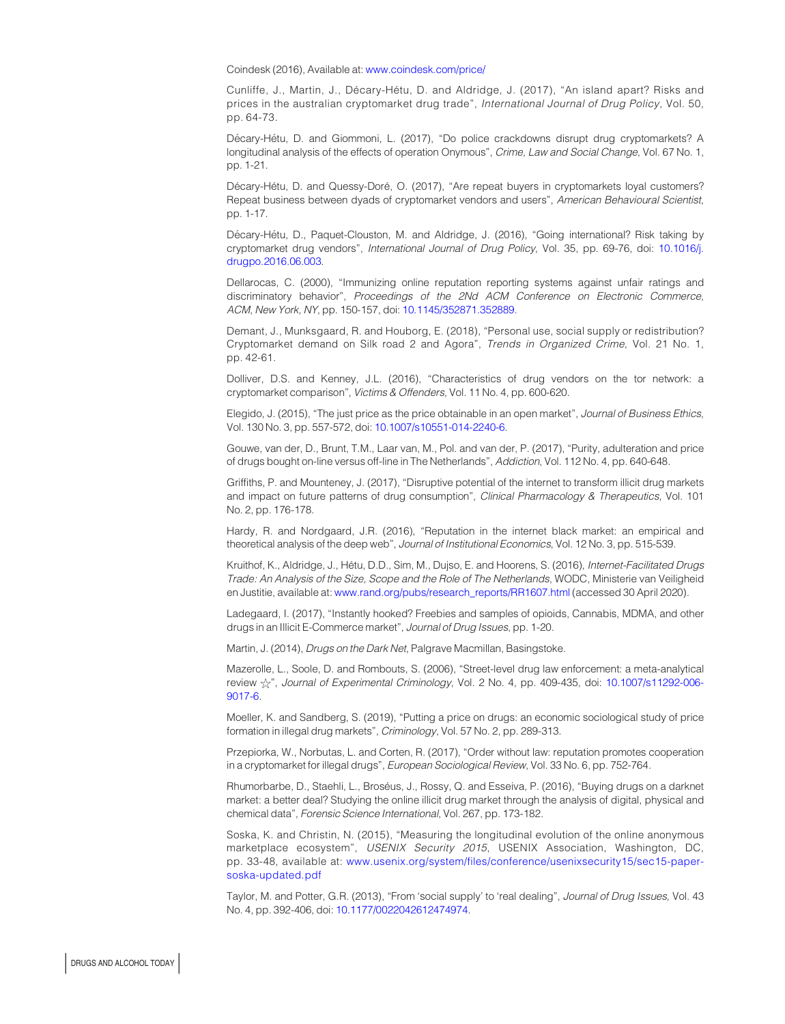<span id="page-9-16"></span>Coindesk (2016), Available at: [www.coindesk.com/price/](http://www.coindesk.com/price/)

<span id="page-9-9"></span>Cunliffe, J., Martin, J., Décary-Hétu, D. and Aldridge, J. (2017), "An island apart? Risks and prices in the australian cryptomarket drug trade", International Journal of Drug Policy, Vol. 50, pp. 64-73.

<span id="page-9-11"></span>Décary-Hétu, D. and Giommoni, L. (2017), "Do police crackdowns disrupt drug cryptomarkets? A longitudinal analysis of the effects of operation Onymous", Crime, Law and Social Change, Vol. 67 No. 1, pp. 1-21.

<span id="page-9-1"></span>Décary-Hétu, D. and Quessy-Doré, O. (2017), "Are repeat buyers in cryptomarkets loyal customers? Repeat business between dyads of cryptomarket vendors and users", American Behavioural Scientist, pp. 1-17.

<span id="page-9-0"></span>Décary-Hétu, D., Paquet-Clouston, M. and Aldridge, J. (2016), "Going international? Risk taking by cryptomarket drug vendors", International Journal of Drug Policy, Vol. 35, pp. 69-76, doi: [10.1016/j.](http://dx.doi.org/10.1016/j.drugpo.2016.06.003) [drugpo.2016.06.003.](http://dx.doi.org/10.1016/j.drugpo.2016.06.003)

<span id="page-9-17"></span>Dellarocas, C. (2000), "Immunizing online reputation reporting systems against unfair ratings and discriminatory behavior", Proceedings of the 2Nd ACM Conference on Electronic Commerce, ACM, New York, NY, pp. 150-157, doi: [10.1145/352871.352889](http://dx.doi.org/10.1145/352871.352889).

<span id="page-9-2"></span>Demant, J., Munksgaard, R. and Houborg, E. (2018), "Personal use, social supply or redistribution? Cryptomarket demand on Silk road 2 and Agora", Trends in Organized Crime, Vol. 21 No. 1, pp. 42-61.

<span id="page-9-4"></span>Dolliver, D.S. and Kenney, J.L. (2016), "Characteristics of drug vendors on the tor network: a cryptomarket comparison", Victims & Offenders, Vol. 11 No. 4, pp. 600-620.

<span id="page-9-18"></span>Elegido, J. (2015), "The just price as the price obtainable in an open market", Journal of Business Ethics, Vol. 130 No. 3, pp. 557-572, doi: [10.1007/s10551-014-2240-6.](http://dx.doi.org/10.1007/s10551-014-2240-6)

<span id="page-9-5"></span>Gouwe, van der, D., Brunt, T.M., Laar van, M., Pol. and van der, P. (2017), "Purity, adulteration and price of drugs bought on-line versus off-line in The Netherlands", Addiction, Vol. 112 No. 4, pp. 640-648.

<span id="page-9-3"></span>Griffiths, P. and Mounteney, J. (2017), "Disruptive potential of the internet to transform illicit drug markets and impact on future patterns of drug consumption", Clinical Pharmacology & Therapeutics, Vol. 101 No. 2, pp. 176-178.

<span id="page-9-6"></span>Hardy, R. and Nordgaard, J.R. (2016), "Reputation in the internet black market: an empirical and theoretical analysis of the deep web", Journal of Institutional Economics, Vol. 12 No. 3, pp. 515-539.

<span id="page-9-12"></span>Kruithof, K., Aldridge, J., Hétu, D.D., Sim, M., Dujso, E. and Hoorens, S. (2016), Internet-Facilitated Drugs Trade: An Analysis of the Size, Scope and the Role of The Netherlands, WODC, Ministerie van Veiligheid en Justitie, available at: [www.rand.org/pubs/research\\_reports/RR1607.html](http://www.rand.org/pubs/research_reports/RR1607.html) (accessed 30 April 2020).

<span id="page-9-14"></span>Ladegaard, I. (2017), "Instantly hooked? Freebies and samples of opioids, Cannabis, MDMA, and other drugs in an Illicit E-Commerce market", Journal of Drug Issues, pp. 1-20.

<span id="page-9-19"></span>Martin, J. (2014), Drugs on the Dark Net, Palgrave Macmillan, Basingstoke.

<span id="page-9-10"></span>Mazerolle, L., Soole, D. and Rombouts, S. (2006), "Street-level drug law enforcement: a meta-analytical review  $\frac{1}{\sqrt{2}}$ ", Journal of Experimental Criminology, Vol. 2 No. 4, pp. 409-435, doi: [10.1007/s11292-006-](http://dx.doi.org/10.1007/s11292-006-9017-6) [9017-6](http://dx.doi.org/10.1007/s11292-006-9017-6).

<span id="page-9-20"></span>Moeller, K. and Sandberg, S. (2019), "Putting a price on drugs: an economic sociological study of price formation in illegal drug markets", Criminology, Vol. 57 No. 2, pp. 289-313.

<span id="page-9-7"></span>Przepiorka, W., Norbutas, L. and Corten, R. (2017), "Order without law: reputation promotes cooperation in a cryptomarket for illegal drugs", European Sociological Review, Vol. 33 No. 6, pp. 752-764.

<span id="page-9-15"></span>Rhumorbarbe, D., Staehli, L., Broséus, J., Rossy, Q. and Esseiva, P. (2016), "Buying drugs on a darknet market: a better deal? Studying the online illicit drug market through the analysis of digital, physical and chemical data", Forensic Science International, Vol. 267, pp. 173-182.

<span id="page-9-8"></span>Soska, K. and Christin, N. (2015), "Measuring the longitudinal evolution of the online anonymous marketplace ecosystem", USENIX Security 2015, USENIX Association, Washington, DC, pp. 33-48, available at: [www.usenix.org/system/files/conference/usenixsecurity15/sec15-paper](http://www.usenix.org/system/files/conference/usenixsecurity15/sec15-paper-soska-updated.pdf)[soska-updated.pdf](http://www.usenix.org/system/files/conference/usenixsecurity15/sec15-paper-soska-updated.pdf)

<span id="page-9-13"></span>Taylor, M. and Potter, G.R. (2013), "From 'social supply' to 'real dealing", Journal of Drug Issues, Vol. 43 No. 4, pp. 392-406, doi: [10.1177/0022042612474974.](http://dx.doi.org/10.1177/0022042612474974)